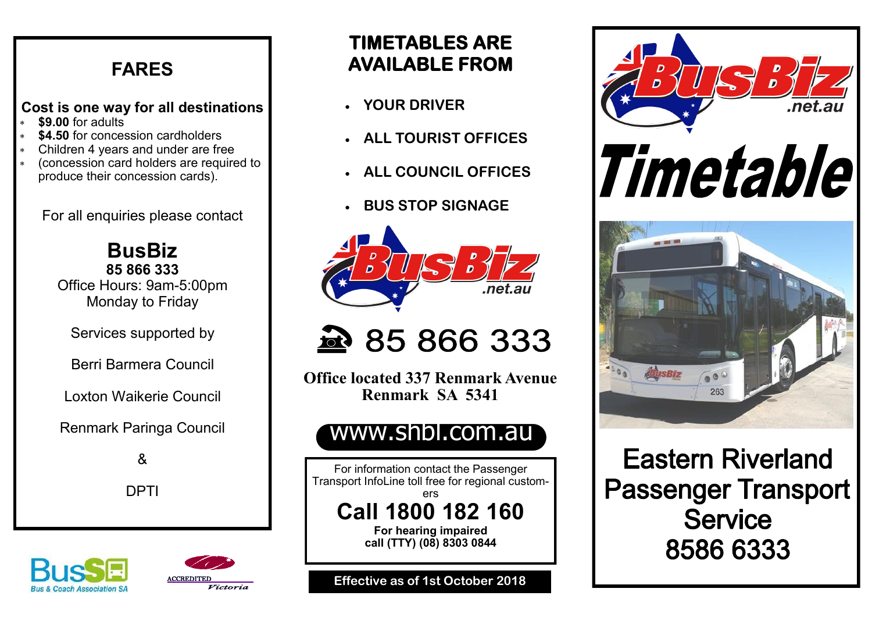### **FARES**

### **Cost is one way for all destinations**

- **\$9.00** for adults
- **\$4.50** for concession cardholders
- Children 4 years and under are free
- (concession card holders are required to produce their concession cards).

For all enquiries please contact

**BusBiz 85 866 333** Office Hours: 9am-5:00pm Monday to Friday

Services supported by

Berri Barmera Council

Loxton Waikerie Council

Renmark Paringa Council

&

DPTI

### **TIMETABLES ARE AVAILABLE FROM**

- **YOUR DRIVER**
- **ALL TOURIST OFFICES**
- **ALL COUNCIL OFFICES**
- **BUS STOP SIGNAGE**



## 285 866 333

**Office located 337 Renmark Avenue Renmark SA 5341** 

### www.shbl.com.au

For information contact the Passenger Transport InfoLine toll free for regional customers **Call 1800 182 160**

> **For hearing impaired call (TTY) (08) 8303 0844**

**Effective as of 1st October 2018**



**Eastern Riverland Passenger Transport Service** 8586 6333